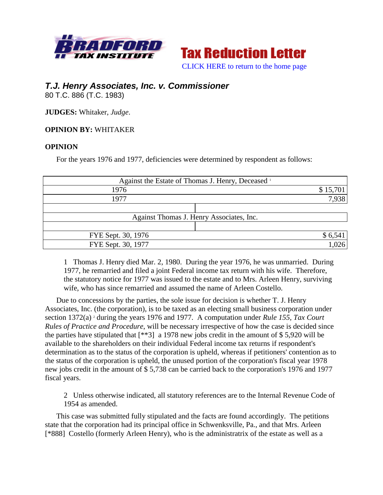



## *T.J. Henry Associates, Inc. v. Commissioner*

80 T.C. 886 (T.C. 1983)

**JUDGES:** Whitaker, *Judge*.

## **OPINION BY:** WHITAKER

## **OPINION**

For the years 1976 and 1977, deficiencies were determined by respondent as follows:

| Against the Estate of Thomas J. Henry, Deceased 1 |  |          |
|---------------------------------------------------|--|----------|
| 1976                                              |  | \$15,701 |
| 1977                                              |  | 7,938    |
|                                                   |  |          |
| Against Thomas J. Henry Associates, Inc.          |  |          |
|                                                   |  |          |
| FYE Sept. 30, 1976                                |  | \$6,541  |
| FYE Sept. 30, 1977                                |  |          |

1 Thomas J. Henry died Mar. 2, 1980. During the year 1976, he was unmarried. During 1977, he remarried and filed a joint Federal income tax return with his wife. Therefore, the statutory notice for 1977 was issued to the estate and to Mrs. Arleen Henry, surviving wife, who has since remarried and assumed the name of Arleen Costello.

Due to concessions by the parties, the sole issue for decision is whether T. J. Henry Associates, Inc. (the corporation), is to be taxed as an electing small business corporation under section 1372(a) <sup>2</sup> during the years 1976 and 1977. A computation under *Rule 155, Tax Court Rules of Practice and Procedure*, will be necessary irrespective of how the case is decided since the parties have stipulated that [\*\*3] a 1978 new jobs credit in the amount of \$ 5,920 will be available to the shareholders on their individual Federal income tax returns if respondent's determination as to the status of the corporation is upheld, whereas if petitioners' contention as to the status of the corporation is upheld, the unused portion of the corporation's fiscal year 1978 new jobs credit in the amount of \$ 5,738 can be carried back to the corporation's 1976 and 1977 fiscal years.

2 Unless otherwise indicated, all statutory references are to the Internal Revenue Code of 1954 as amended.

This case was submitted fully stipulated and the facts are found accordingly. The petitions state that the corporation had its principal office in Schwenksville, Pa., and that Mrs. Arleen [\*888] Costello (formerly Arleen Henry), who is the administratrix of the estate as well as a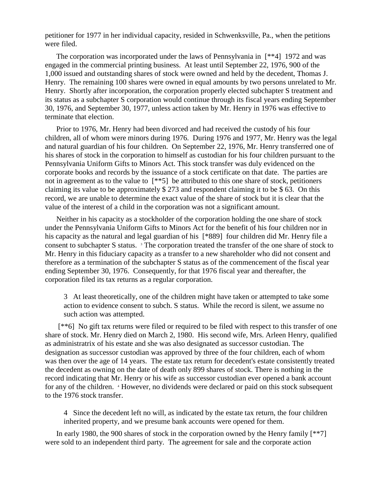petitioner for 1977 in her individual capacity, resided in Schwenksville, Pa., when the petitions were filed.

The corporation was incorporated under the laws of Pennsylvania in [\*\*4] 1972 and was engaged in the commercial printing business. At least until September 22, 1976, 900 of the 1,000 issued and outstanding shares of stock were owned and held by the decedent, Thomas J. Henry. The remaining 100 shares were owned in equal amounts by two persons unrelated to Mr. Henry. Shortly after incorporation, the corporation properly elected subchapter S treatment and its status as a subchapter S corporation would continue through its fiscal years ending September 30, 1976, and September 30, 1977, unless action taken by Mr. Henry in 1976 was effective to terminate that election.

Prior to 1976, Mr. Henry had been divorced and had received the custody of his four children, all of whom were minors during 1976. During 1976 and 1977, Mr. Henry was the legal and natural guardian of his four children. On September 22, 1976, Mr. Henry transferred one of his shares of stock in the corporation to himself as custodian for his four children pursuant to the Pennsylvania Uniform Gifts to Minors Act. This stock transfer was duly evidenced on the corporate books and records by the issuance of a stock certificate on that date. The parties are not in agreement as to the value to  $[**5]$  be attributed to this one share of stock, petitioners claiming its value to be approximately \$ 273 and respondent claiming it to be \$ 63. On this record, we are unable to determine the exact value of the share of stock but it is clear that the value of the interest of a child in the corporation was not a significant amount.

Neither in his capacity as a stockholder of the corporation holding the one share of stock under the Pennsylvania Uniform Gifts to Minors Act for the benefit of his four children nor in his capacity as the natural and legal guardian of his [\*889] four children did Mr. Henry file a consent to subchapter S status. <sup>3</sup> The corporation treated the transfer of the one share of stock to Mr. Henry in this fiduciary capacity as a transfer to a new shareholder who did not consent and therefore as a termination of the subchapter S status as of the commencement of the fiscal year ending September 30, 1976. Consequently, for that 1976 fiscal year and thereafter, the corporation filed its tax returns as a regular corporation.

3 At least theoretically, one of the children might have taken or attempted to take some action to evidence consent to subch. S status. While the record is silent, we assume no such action was attempted.

[\*\*6] No gift tax returns were filed or required to be filed with respect to this transfer of one share of stock. Mr. Henry died on March 2, 1980. His second wife, Mrs. Arleen Henry, qualified as administratrix of his estate and she was also designated as successor custodian. The designation as successor custodian was approved by three of the four children, each of whom was then over the age of 14 years. The estate tax return for decedent's estate consistently treated the decedent as owning on the date of death only 899 shares of stock. There is nothing in the record indicating that Mr. Henry or his wife as successor custodian ever opened a bank account for any of the children. <sup>4</sup> However, no dividends were declared or paid on this stock subsequent to the 1976 stock transfer.

4 Since the decedent left no will, as indicated by the estate tax return, the four children inherited property, and we presume bank accounts were opened for them.

In early 1980, the 900 shares of stock in the corporation owned by the Henry family [\*\*7] were sold to an independent third party. The agreement for sale and the corporate action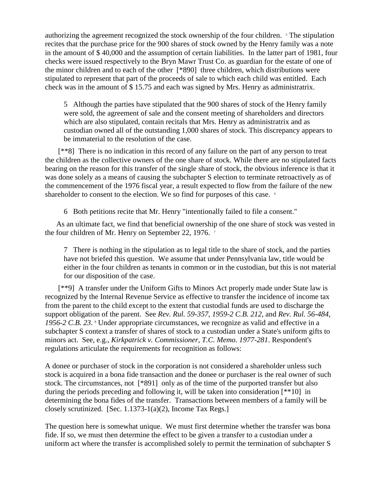authorizing the agreement recognized the stock ownership of the four children. <sup>5</sup> The stipulation recites that the purchase price for the 900 shares of stock owned by the Henry family was a note in the amount of \$ 40,000 and the assumption of certain liabilities. In the latter part of 1981, four checks were issued respectively to the Bryn Mawr Trust Co. as guardian for the estate of one of the minor children and to each of the other [\*890] three children, which distributions were stipulated to represent that part of the proceeds of sale to which each child was entitled. Each check was in the amount of \$ 15.75 and each was signed by Mrs. Henry as administratrix.

5 Although the parties have stipulated that the 900 shares of stock of the Henry family were sold, the agreement of sale and the consent meeting of shareholders and directors which are also stipulated, contain recitals that Mrs. Henry as administratrix and as custodian owned all of the outstanding 1,000 shares of stock. This discrepancy appears to be immaterial to the resolution of the case.

[\*\*8] There is no indication in this record of any failure on the part of any person to treat the children as the collective owners of the one share of stock. While there are no stipulated facts bearing on the reason for this transfer of the single share of stock, the obvious inference is that it was done solely as a means of causing the subchapter S election to terminate retroactively as of the commencement of the 1976 fiscal year, a result expected to flow from the failure of the new shareholder to consent to the election. We so find for purposes of this case.  $\epsilon$ 

6 Both petitions recite that Mr. Henry "intentionally failed to file a consent."

As an ultimate fact, we find that beneficial ownership of the one share of stock was vested in the four children of Mr. Henry on September 22, 1976.<sup>7</sup>

7 There is nothing in the stipulation as to legal title to the share of stock, and the parties have not briefed this question. We assume that under Pennsylvania law, title would be either in the four children as tenants in common or in the custodian, but this is not material for our disposition of the case.

[\*\*9] A transfer under the Uniform Gifts to Minors Act properly made under State law is recognized by the Internal Revenue Service as effective to transfer the incidence of income tax from the parent to the child except to the extent that custodial funds are used to discharge the support obligation of the parent. See *Rev. Rul. 59-357, 1959-2 C.B. 212*, and *Rev. Rul. 56-484,*  1956-2 C.B. 23. <sup>8</sup> Under appropriate circumstances, we recognize as valid and effective in a subchapter S context a transfer of shares of stock to a custodian under a State's uniform gifts to minors act. See, e.g., *Kirkpatrick v. Commissioner, T.C. Memo. 1977-281*. Respondent's regulations articulate the requirements for recognition as follows:

A donee or purchaser of stock in the corporation is not considered a shareholder unless such stock is acquired in a bona fide transaction and the donee or purchaser is the real owner of such stock. The circumstances, not [\*891] only as of the time of the purported transfer but also during the periods preceding and following it, will be taken into consideration [\*\*10] in determining the bona fides of the transfer. Transactions between members of a family will be closely scrutinized. [Sec. 1.1373-1(a)(2), Income Tax Regs.]

The question here is somewhat unique. We must first determine whether the transfer was bona fide. If so, we must then determine the effect to be given a transfer to a custodian under a uniform act where the transfer is accomplished solely to permit the termination of subchapter S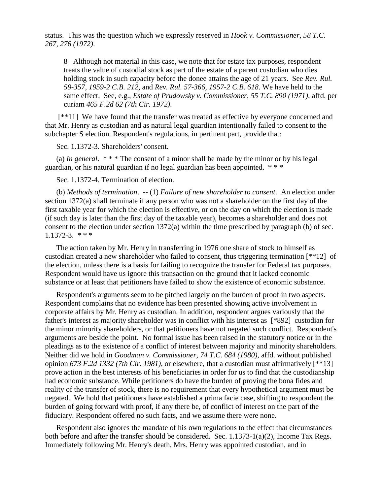status. This was the question which we expressly reserved in *Hook v. Commissioner, 58 T.C. 267, 276 (1972)*.

8 Although not material in this case, we note that for estate tax purposes, respondent treats the value of custodial stock as part of the estate of a parent custodian who dies holding stock in such capacity before the donee attains the age of 21 years. See *Rev. Rul. 59-357, 1959-2 C.B. 212*, and *Rev. Rul. 57-366, 1957-2 C.B. 618*. We have held to the same effect. See, e.g., *Estate of Prudowsky v. Commissioner, 55 T.C. 890 (1971)*, affd. per curiam *465 F.2d 62 (7th Cir. 1972)*.

[\*\*11] We have found that the transfer was treated as effective by everyone concerned and that Mr. Henry as custodian and as natural legal guardian intentionally failed to consent to the subchapter S election. Respondent's regulations, in pertinent part, provide that:

Sec. 1.1372-3. Shareholders' consent.

(a) *In general*. \* \* \* The consent of a minor shall be made by the minor or by his legal guardian, or his natural guardian if no legal guardian has been appointed. \* \* \*

Sec. 1.1372-4. Termination of election.

(b) *Methods of termination*. -- (1) *Failure of new shareholder to consent*. An election under section 1372(a) shall terminate if any person who was not a shareholder on the first day of the first taxable year for which the election is effective, or on the day on which the election is made (if such day is later than the first day of the taxable year), becomes a shareholder and does not consent to the election under section 1372(a) within the time prescribed by paragraph (b) of sec. 1.1372-3. \* \* \*

The action taken by Mr. Henry in transferring in 1976 one share of stock to himself as custodian created a new shareholder who failed to consent, thus triggering termination [\*\*12] of the election, unless there is a basis for failing to recognize the transfer for Federal tax purposes. Respondent would have us ignore this transaction on the ground that it lacked economic substance or at least that petitioners have failed to show the existence of economic substance.

Respondent's arguments seem to be pitched largely on the burden of proof in two aspects. Respondent complains that no evidence has been presented showing active involvement in corporate affairs by Mr. Henry as custodian. In addition, respondent argues variously that the father's interest as majority shareholder was in conflict with his interest as [\*892] custodian for the minor minority shareholders, or that petitioners have not negated such conflict. Respondent's arguments are beside the point. No formal issue has been raised in the statutory notice or in the pleadings as to the existence of a conflict of interest between majority and minority shareholders. Neither did we hold in *Goodman v. Commissioner, 74 T.C. 684 (1980)*, affd. without published opinion *673 F.2d 1332 (7th Cir. 1981)*, or elsewhere, that a custodian must affirmatively [\*\*13] prove action in the best interests of his beneficiaries in order for us to find that the custodianship had economic substance. While petitioners do have the burden of proving the bona fides and reality of the transfer of stock, there is no requirement that every hypothetical argument must be negated. We hold that petitioners have established a prima facie case, shifting to respondent the burden of going forward with proof, if any there be, of conflict of interest on the part of the fiduciary. Respondent offered no such facts, and we assume there were none.

Respondent also ignores the mandate of his own regulations to the effect that circumstances both before and after the transfer should be considered. Sec. 1.1373-1(a)(2), Income Tax Regs. Immediately following Mr. Henry's death, Mrs. Henry was appointed custodian, and in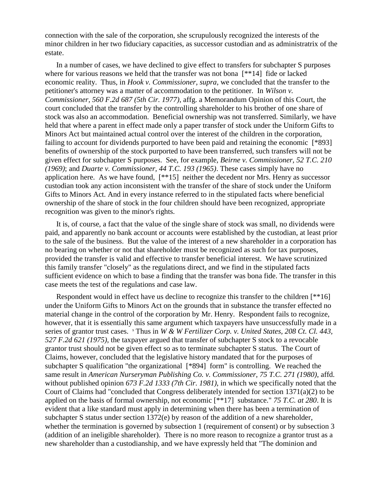connection with the sale of the corporation, she scrupulously recognized the interests of the minor children in her two fiduciary capacities, as successor custodian and as administratrix of the estate.

In a number of cases, we have declined to give effect to transfers for subchapter S purposes where for various reasons we held that the transfer was not bona [\*\*14] fide or lacked economic reality. Thus, in *Hook v. Commissioner, supra*, we concluded that the transfer to the petitioner's attorney was a matter of accommodation to the petitioner. In *Wilson v. Commissioner, 560 F.2d 687 (5th Cir. 1977)*, affg. a Memorandum Opinion of this Court, the court concluded that the transfer by the controlling shareholder to his brother of one share of stock was also an accommodation. Beneficial ownership was not transferred. Similarly, we have held that where a parent in effect made only a paper transfer of stock under the Uniform Gifts to Minors Act but maintained actual control over the interest of the children in the corporation, failing to account for dividends purported to have been paid and retaining the economic [\*893] benefits of ownership of the stock purported to have been transferred, such transfers will not be given effect for subchapter S purposes. See, for example, *Beirne v. Commissioner, 52 T.C. 210 (1969)*; and *Duarte v. Commissioner, 44 T.C. 193 (1965)*. These cases simply have no application here. As we have found, [\*\*15] neither the decedent nor Mrs. Henry as successor custodian took any action inconsistent with the transfer of the share of stock under the Uniform Gifts to Minors Act. And in every instance referred to in the stipulated facts where beneficial ownership of the share of stock in the four children should have been recognized, appropriate recognition was given to the minor's rights.

It is, of course, a fact that the value of the single share of stock was small, no dividends were paid, and apparently no bank account or accounts were established by the custodian, at least prior to the sale of the business. But the value of the interest of a new shareholder in a corporation has no bearing on whether or not that shareholder must be recognized as such for tax purposes, provided the transfer is valid and effective to transfer beneficial interest. We have scrutinized this family transfer "closely" as the regulations direct, and we find in the stipulated facts sufficient evidence on which to base a finding that the transfer was bona fide. The transfer in this case meets the test of the regulations and case law.

Respondent would in effect have us decline to recognize this transfer to the children [\*\*16] under the Uniform Gifts to Minors Act on the grounds that in substance the transfer effected no material change in the control of the corporation by Mr. Henry. Respondent fails to recognize, however, that it is essentially this same argument which taxpayers have unsuccessfully made in a series of grantor trust cases. <sup>9</sup> Thus in *W & W Fertilizer Corp. v. United States, 208 Ct. Cl. 443, 527 F.2d 621 (1975)*, the taxpayer argued that transfer of subchapter S stock to a revocable grantor trust should not be given effect so as to terminate subchapter S status. The Court of Claims, however, concluded that the legislative history mandated that for the purposes of subchapter S qualification "the organizational [\*894] form" is controlling. We reached the same result in *American Nurseryman Publishing Co. v. Commissioner, 75 T.C. 271 (1980)*, affd. without published opinion *673 F.2d 1333 (7th Cir. 1981)*, in which we specifically noted that the Court of Claims had "concluded that Congress deliberately intended for section 1371(a)(2) to be applied on the basis of formal ownership, not economic [\*\*17] substance." *75 T.C. at 280*. It is evident that a like standard must apply in determining when there has been a termination of subchapter S status under section 1372(e) by reason of the addition of a new shareholder, whether the termination is governed by subsection 1 (requirement of consent) or by subsection 3 (addition of an ineligible shareholder). There is no more reason to recognize a grantor trust as a new shareholder than a custodianship, and we have expressly held that "The dominion and